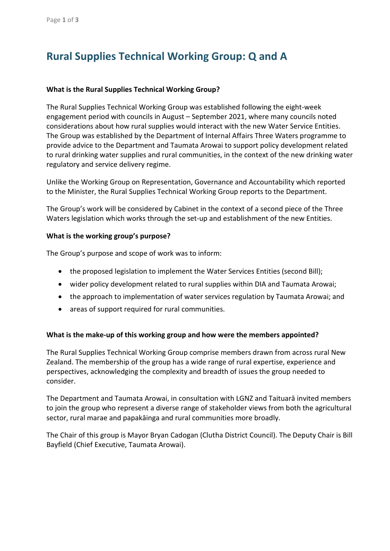# **Rural Supplies Technical Working Group: Q and A**

#### **What is the Rural Supplies Technical Working Group?**

The Rural Supplies Technical Working Group was established following the eight-week engagement period with councils in August – September 2021, where many councils noted considerations about how rural supplies would interact with the new Water Service Entities. The Group was established by the Department of Internal Affairs Three Waters programme to provide advice to the Department and Taumata Arowai to support policy development related to rural drinking water supplies and rural communities, in the context of the new drinking water regulatory and service delivery regime.

Unlike the Working Group on Representation, Governance and Accountability which reported to the Minister, the Rural Supplies Technical Working Group reports to the Department.

The Group's work will be considered by Cabinet in the context of a second piece of the Three Waters legislation which works through the set-up and establishment of the new Entities.

#### **What is the working group's purpose?**

The Group's purpose and scope of work was to inform:

- the proposed legislation to implement the Water Services Entities (second Bill);
- wider policy development related to rural supplies within DIA and Taumata Arowai;
- the approach to implementation of water services regulation by Taumata Arowai; and
- areas of support required for rural communities.

# **What is the make-up of this working group and how were the members appointed?**

The Rural Supplies Technical Working Group comprise members drawn from across rural New Zealand. The membership of the group has a wide range of rural expertise, experience and perspectives, acknowledging the complexity and breadth of issues the group needed to consider.

The Department and Taumata Arowai, in consultation with LGNZ and Taituarā invited members to join the group who represent a diverse range of stakeholder views from both the agricultural sector, rural marae and papakāinga and rural communities more broadly.

The Chair of this group is Mayor Bryan Cadogan (Clutha District Council). The Deputy Chair is Bill Bayfield (Chief Executive, Taumata Arowai).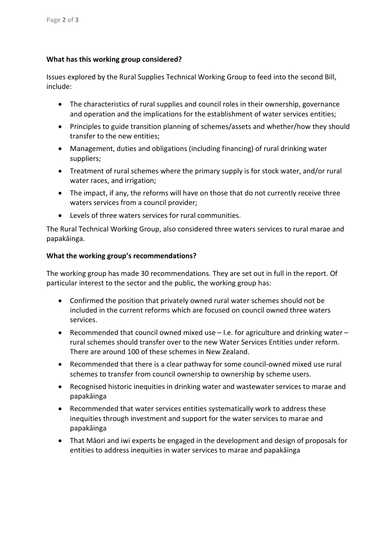# **What has this working group considered?**

Issues explored by the Rural Supplies Technical Working Group to feed into the second Bill, include:

- The characteristics of rural supplies and council roles in their ownership, governance and operation and the implications for the establishment of water services entities;
- Principles to guide transition planning of schemes/assets and whether/how they should transfer to the new entities;
- Management, duties and obligations (including financing) of rural drinking water suppliers;
- Treatment of rural schemes where the primary supply is for stock water, and/or rural water races, and irrigation;
- The impact, if any, the reforms will have on those that do not currently receive three waters services from a council provider;
- Levels of three waters services for rural communities.

The Rural Technical Working Group, also considered three waters services to rural marae and papakāinga.

# **What the working group's recommendations?**

The working group has made 30 recommendations. They are set out in full in the report. Of particular interest to the sector and the public, the working group has:

- Confirmed the position that privately owned rural water schemes should not be included in the current reforms which are focused on council owned three waters services.
- Recommended that council owned mixed use I.e. for agriculture and drinking water rural schemes should transfer over to the new Water Services Entities under reform. There are around 100 of these schemes in New Zealand.
- Recommended that there is a clear pathway for some council-owned mixed use rural schemes to transfer from council ownership to ownership by scheme users.
- Recognised historic inequities in drinking water and wastewater services to marae and papakāinga
- Recommended that water services entities systematically work to address these inequities through investment and support for the water services to marae and papakāinga
- That Māori and iwi experts be engaged in the development and design of proposals for entities to address inequities in water services to marae and papakāinga